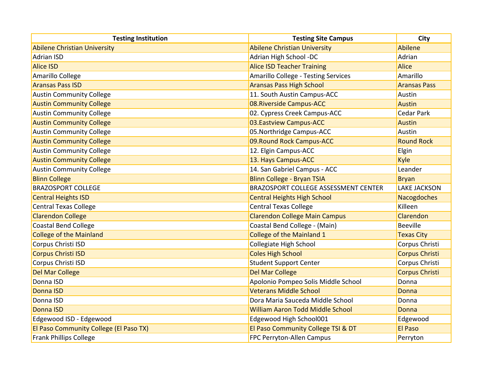| <b>Testing Institution</b>             | <b>Testing Site Campus</b>                  | City                  |
|----------------------------------------|---------------------------------------------|-----------------------|
| <b>Abilene Christian University</b>    | <b>Abilene Christian University</b>         | Abilene               |
| <b>Adrian ISD</b>                      | Adrian High School -DC                      | Adrian                |
| <b>Alice ISD</b>                       | <b>Alice ISD Teacher Training</b>           | <b>Alice</b>          |
| Amarillo College                       | Amarillo College - Testing Services         | Amarillo              |
| <b>Aransas Pass ISD</b>                | <b>Aransas Pass High School</b>             | <b>Aransas Pass</b>   |
| <b>Austin Community College</b>        | 11. South Austin Campus-ACC                 | Austin                |
| <b>Austin Community College</b>        | 08. Riverside Campus-ACC                    | <b>Austin</b>         |
| <b>Austin Community College</b>        | 02. Cypress Creek Campus-ACC                | <b>Cedar Park</b>     |
| <b>Austin Community College</b>        | 03. Eastview Campus-ACC                     | Austin                |
| <b>Austin Community College</b>        | 05. Northridge Campus-ACC                   | Austin                |
| <b>Austin Community College</b>        | 09. Round Rock Campus-ACC                   | <b>Round Rock</b>     |
| <b>Austin Community College</b>        | 12. Elgin Campus-ACC                        | Elgin                 |
| <b>Austin Community College</b>        | 13. Hays Campus-ACC                         | Kyle                  |
| <b>Austin Community College</b>        | 14. San Gabriel Campus - ACC                | Leander               |
| <b>Blinn College</b>                   | <b>Blinn College - Bryan TSIA</b>           | <b>Bryan</b>          |
| <b>BRAZOSPORT COLLEGE</b>              | <b>BRAZOSPORT COLLEGE ASSESSMENT CENTER</b> | <b>LAKE JACKSON</b>   |
| <b>Central Heights ISD</b>             | <b>Central Heights High School</b>          | Nacogdoches           |
| <b>Central Texas College</b>           | <b>Central Texas College</b>                | Killeen               |
| <b>Clarendon College</b>               | <b>Clarendon College Main Campus</b>        | Clarendon             |
| <b>Coastal Bend College</b>            | Coastal Bend College - (Main)               | <b>Beeville</b>       |
| <b>College of the Mainland</b>         | <b>College of the Mainland 1</b>            | <b>Texas City</b>     |
| Corpus Christi ISD                     | <b>Collegiate High School</b>               | Corpus Christi        |
| <b>Corpus Christi ISD</b>              | <b>Coles High School</b>                    | <b>Corpus Christi</b> |
| Corpus Christi ISD                     | <b>Student Support Center</b>               | Corpus Christi        |
| <b>Del Mar College</b>                 | <b>Del Mar College</b>                      | <b>Corpus Christi</b> |
| Donna ISD                              | Apolonio Pompeo Solis Middle School         | Donna                 |
| Donna ISD                              | <b>Veterans Middle School</b>               | Donna                 |
| Donna ISD                              | Dora Maria Sauceda Middle School            | Donna                 |
| <b>Donna ISD</b>                       | <b>William Aaron Todd Middle School</b>     | Donna                 |
| Edgewood ISD - Edgewood                | Edgewood High School001                     | Edgewood              |
| El Paso Community College (El Paso TX) | El Paso Community College TSI & DT          | <b>El Paso</b>        |
| <b>Frank Phillips College</b>          | <b>FPC Perryton-Allen Campus</b>            | Perryton              |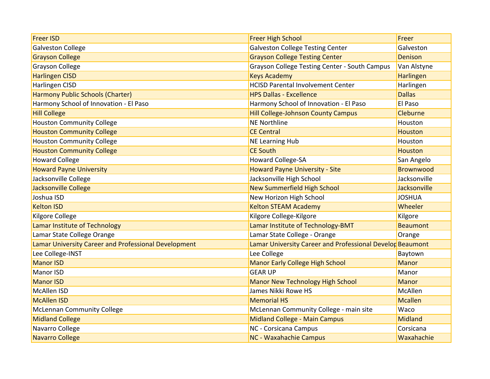| <b>Freer ISD</b>                                     | <b>Freer High School</b>                                  | Freer            |
|------------------------------------------------------|-----------------------------------------------------------|------------------|
| <b>Galveston College</b>                             | <b>Galveston College Testing Center</b>                   | Galveston        |
| <b>Grayson College</b>                               | <b>Grayson College Testing Center</b>                     | Denison          |
| <b>Grayson College</b>                               | Grayson College Testing Center - South Campus             | Van Alstyne      |
| <b>Harlingen CISD</b>                                | <b>Keys Academy</b>                                       | Harlingen        |
| Harlingen CISD                                       | <b>HCISD Parental Involvement Center</b>                  | Harlingen        |
| <b>Harmony Public Schools (Charter)</b>              | <b>HPS Dallas - Excellence</b>                            | <b>Dallas</b>    |
| Harmony School of Innovation - El Paso               | Harmony School of Innovation - El Paso                    | El Paso          |
| <b>Hill College</b>                                  | <b>Hill College-Johnson County Campus</b>                 | Cleburne         |
| <b>Houston Community College</b>                     | <b>NE Northline</b>                                       | Houston          |
| <b>Houston Community College</b>                     | <b>CE Central</b>                                         | <b>Houston</b>   |
| <b>Houston Community College</b>                     | <b>NE Learning Hub</b>                                    | Houston          |
| <b>Houston Community College</b>                     | <b>CE South</b>                                           | <b>Houston</b>   |
| <b>Howard College</b>                                | <b>Howard College-SA</b>                                  | San Angelo       |
| <b>Howard Payne University</b>                       | <b>Howard Payne University - Site</b>                     | <b>Brownwood</b> |
| Jacksonville College                                 | Jacksonville High School                                  | Jacksonville     |
| <b>Jacksonville College</b>                          | <b>New Summerfield High School</b>                        | Jacksonville     |
| Joshua ISD                                           | New Horizon High School                                   | <b>JOSHUA</b>    |
| <b>Kelton ISD</b>                                    | <b>Kelton STEAM Academy</b>                               | Wheeler          |
| Kilgore College                                      | Kilgore College-Kilgore                                   | Kilgore          |
| Lamar Institute of Technology                        | Lamar Institute of Technology-BMT                         | <b>Beaumont</b>  |
| Lamar State College Orange                           | Lamar State College - Orange                              | Orange           |
| Lamar University Career and Professional Development | Lamar University Career and Professional Develop Beaumont |                  |
| Lee College-INST                                     | Lee College                                               | Baytown          |
| <b>Manor ISD</b>                                     | <b>Manor Early College High School</b>                    | Manor            |
| Manor ISD                                            | <b>GEAR UP</b>                                            | Manor            |
| <b>Manor ISD</b>                                     | <b>Manor New Technology High School</b>                   | <b>Manor</b>     |
| <b>McAllen ISD</b>                                   | James Nikki Rowe HS                                       | McAllen          |
| <b>McAllen ISD</b>                                   | <b>Memorial HS</b>                                        | Mcallen          |
| <b>McLennan Community College</b>                    | McLennan Community College - main site                    | Waco             |
| <b>Midland College</b>                               | <b>Midland College - Main Campus</b>                      | <b>Midland</b>   |
| Navarro College                                      | <b>NC</b> - Corsicana Campus                              | Corsicana        |
| <b>Navarro College</b>                               | <b>NC - Waxahachie Campus</b>                             | Waxahachie       |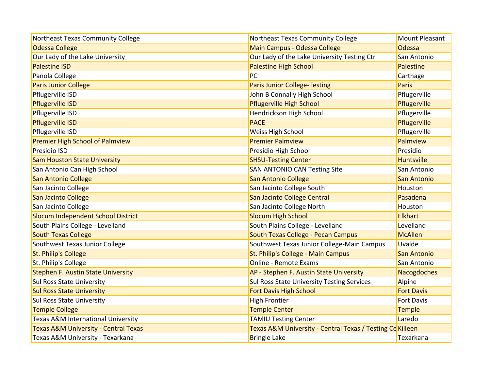| Northeast Texas Community College               | Northeast Texas Community College                         | <b>Mount Pleasant</b> |
|-------------------------------------------------|-----------------------------------------------------------|-----------------------|
| <b>Odessa College</b>                           | Main Campus - Odessa College                              | Odessa                |
| Our Lady of the Lake University                 | Our Lady of the Lake University Testing Ctr               | San Antonio           |
| <b>Palestine ISD</b>                            | <b>Palestine High School</b>                              | Palestine             |
| Panola College                                  | PC                                                        | Carthage              |
| <b>Paris Junior College</b>                     | <b>Paris Junior College-Testing</b>                       | <b>Paris</b>          |
| Pflugerville ISD                                | John B Connally High School                               | Pflugerville          |
| <b>Pflugerville ISD</b>                         | <b>Pflugerville High School</b>                           | Pflugerville          |
| Pflugerville ISD                                | Hendrickson High School                                   | Pflugerville          |
| <b>Pflugerville ISD</b>                         | <b>PACE</b>                                               | Pflugerville          |
| Pflugerville ISD                                | <b>Weiss High School</b>                                  | Pflugerville          |
| <b>Premier High School of Palmview</b>          | <b>Premier Palmview</b>                                   | Palmview              |
| Presidio ISD                                    | Presidio High School                                      | Presidio              |
| <b>Sam Houston State University</b>             | <b>SHSU-Testing Center</b>                                | <b>Huntsville</b>     |
| San Antonio Can High School                     | <b>SAN ANTONIO CAN Testing Site</b>                       | San Antonio           |
| <b>San Antonio College</b>                      | <b>San Antonio College</b>                                | <b>San Antonio</b>    |
| San Jacinto College                             | San Jacinto College South                                 | Houston               |
| San Jacinto College                             | San Jacinto College Central                               | Pasadena              |
| San Jacinto College                             | San Jacinto College North                                 | Houston               |
| Slocum Independent School District              | <b>Slocum High School</b>                                 | <b>Elkhart</b>        |
| South Plains College - Levelland                | South Plains College - Levelland                          | Levelland             |
| <b>South Texas College</b>                      | <b>South Texas College - Pecan Campus</b>                 | <b>McAllen</b>        |
| Southwest Texas Junior College                  | Southwest Texas Junior College-Main Campus                | Uvalde                |
| <b>St. Philip's College</b>                     | St. Philip's College - Main Campus                        | <b>San Antonio</b>    |
| St. Philip's College                            | <b>Online - Remote Exams</b>                              | San Antonio           |
| <b>Stephen F. Austin State University</b>       | AP - Stephen F. Austin State University                   | Nacogdoches           |
| <b>Sul Ross State University</b>                | Sul Ross State University Testing Services                | Alpine                |
| <b>Sul Ross State University</b>                | <b>Fort Davis High School</b>                             | <b>Fort Davis</b>     |
| <b>Sul Ross State University</b>                | <b>High Frontier</b>                                      | Fort Davis            |
| <b>Temple College</b>                           | <b>Temple Center</b>                                      | <b>Temple</b>         |
| Texas A&M International University              | <b>TAMIU Testing Center</b>                               | Laredo                |
| <b>Texas A&amp;M University - Central Texas</b> | Texas A&M University - Central Texas / Testing Ce Killeen |                       |
| Texas A&M University - Texarkana                | <b>Bringle Lake</b>                                       | Texarkana             |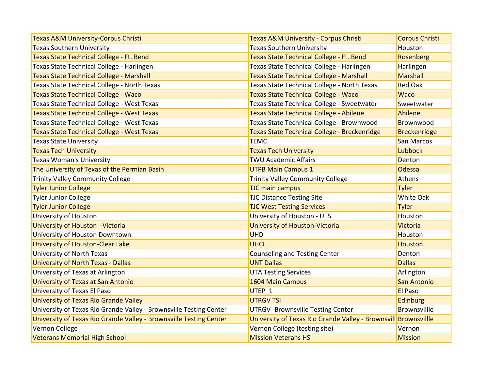| <b>Texas A&amp;M University-Corpus Christi</b>                     | <b>Texas A&amp;M University - Corpus Christi</b>                | <b>Corpus Christi</b> |
|--------------------------------------------------------------------|-----------------------------------------------------------------|-----------------------|
| <b>Texas Southern University</b>                                   | <b>Texas Southern University</b>                                | Houston               |
| Texas State Technical College - Ft. Bend                           | Texas State Technical College - Ft. Bend                        | Rosenberg             |
| Texas State Technical College - Harlingen                          | Texas State Technical College - Harlingen                       | Harlingen             |
| <b>Texas State Technical College - Marshall</b>                    | <b>Texas State Technical College - Marshall</b>                 | <b>Marshall</b>       |
| Texas State Technical College - North Texas                        | Texas State Technical College - North Texas                     | <b>Red Oak</b>        |
| <b>Texas State Technical College - Waco</b>                        | <b>Texas State Technical College - Waco</b>                     | <b>Waco</b>           |
| Texas State Technical College - West Texas                         | Texas State Technical College - Sweetwater                      | Sweetwater            |
| <b>Texas State Technical College - West Texas</b>                  | <b>Texas State Technical College - Abilene</b>                  | <b>Abilene</b>        |
| Texas State Technical College - West Texas                         | Texas State Technical College - Brownwood                       | Brownwood             |
| <b>Texas State Technical College - West Texas</b>                  | Texas State Technical College - Breckenridge                    | <b>Breckenridge</b>   |
| <b>Texas State University</b>                                      | <b>TEMC</b>                                                     | San Marcos            |
| <b>Texas Tech University</b>                                       | <b>Texas Tech University</b>                                    | Lubbock               |
| <b>Texas Woman's University</b>                                    | <b>TWU Academic Affairs</b>                                     | Denton                |
| The University of Texas of the Permian Basin                       | <b>UTPB Main Campus 1</b>                                       | Odessa                |
| <b>Trinity Valley Community College</b>                            | <b>Trinity Valley Community College</b>                         | Athens                |
| <b>Tyler Junior College</b>                                        | <b>TJC main campus</b>                                          | <b>Tyler</b>          |
| <b>Tyler Junior College</b>                                        | <b>TJC Distance Testing Site</b>                                | White Oak             |
| <b>Tyler Junior College</b>                                        | <b>TJC West Testing Services</b>                                | <b>Tyler</b>          |
| University of Houston                                              | University of Houston - UTS                                     | Houston               |
| University of Houston - Victoria                                   | University of Houston-Victoria                                  | <b>Victoria</b>       |
| University of Houston Downtown                                     | <b>UHD</b>                                                      | Houston               |
| <b>University of Houston-Clear Lake</b>                            | <b>UHCL</b>                                                     | Houston               |
| <b>University of North Texas</b>                                   | <b>Counseling and Testing Center</b>                            | Denton                |
| <b>University of North Texas - Dallas</b>                          | <b>UNT Dallas</b>                                               | <b>Dallas</b>         |
| University of Texas at Arlington                                   | <b>UTA Testing Services</b>                                     | Arlington             |
| University of Texas at San Antonio                                 | 1604 Main Campus                                                | San Antonio           |
| University of Texas El Paso                                        | UTEP <sub>1</sub>                                               | El Paso               |
| University of Texas Rio Grande Valley                              | <b>UTRGV TSI</b>                                                | <b>Edinburg</b>       |
| University of Texas Rio Grande Valley - Brownsville Testing Center | <b>UTRGV-Brownsville Testing Center</b>                         | <b>Brownsvillle</b>   |
| University of Texas Rio Grande Valley - Brownsville Testing Center | University of Texas Rio Grande Valley - Brownsvill Brownsvillle |                       |
| Vernon College                                                     | Vernon College (testing site)                                   | Vernon                |
| <b>Veterans Memorial High School</b>                               | <b>Mission Veterans HS</b>                                      | <b>Mission</b>        |